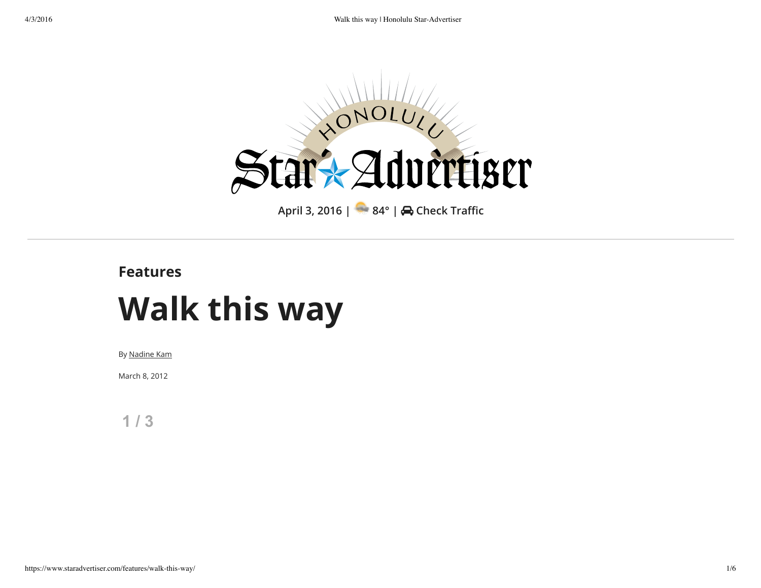

## **Features**

## **Walk this way**

By Nadine Kam

March 8, 2012

**1 / 3**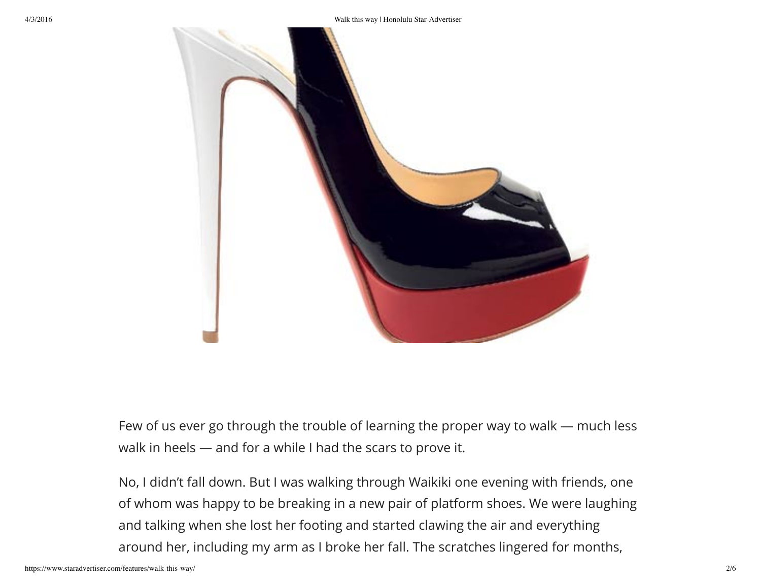

Few of us ever go through the trouble of learning the proper way to walk — much less walk in heels — and for a while I had the scars to prove it.

No, I didn't fall down. But I was walking through Waikiki one evening with friends, one of whom was happy to be breaking in a new pair of platform shoes. We were laughing and talking when she lost her footing and started clawing the air and everything around her, including my arm as I broke her fall. The scratches lingered for months,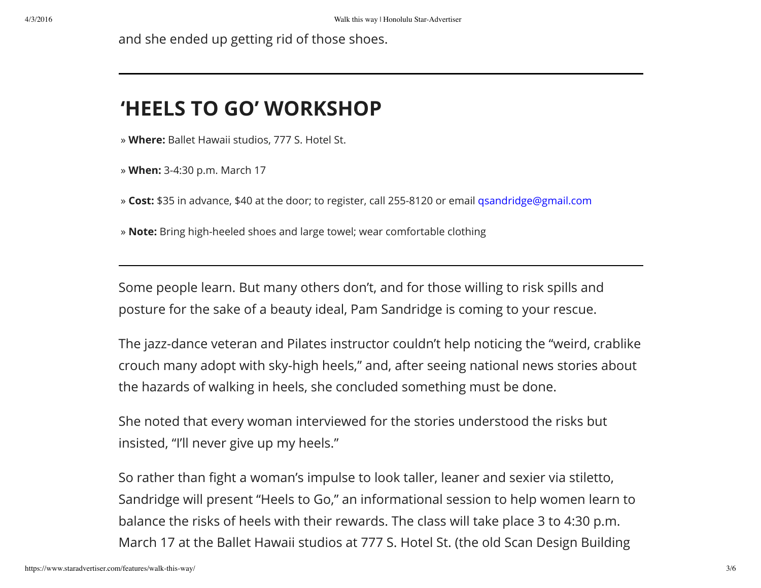and she ended up getting rid of those shoes.

## **'HEELS TO GO' WORKSHOP**

» **Where:** Ballet Hawaii studios, 777 S. Hotel St.

» **When:** 3-4:30 p.m. March 17

» **Cost:** \$35 in advance, \$40 at the door; to register, call 255-8120 or email qsandridge@gmail.com

» **Note:** Bring high-heeled shoes and large towel; wear comfortable clothing

Some people learn. But many others don't, and for those willing to risk spills and posture for the sake of a beauty ideal, Pam Sandridge is coming to your rescue.

The jazz-dance veteran and Pilates instructor couldn't help noticing the "weird, crablike crouch many adopt with sky-high heels," and, after seeing national news stories about the hazards of walking in heels, she concluded something must be done.

She noted that every woman interviewed for the stories understood the risks but insisted, "I'll never give up my heels."

So rather than fight a woman's impulse to look taller, leaner and sexier via stiletto, Sandridge will present "Heels to Go," an informational session to help women learn to balance the risks of heels with their rewards. The class will take place 3 to 4:30 p.m. March 17 at the Ballet Hawaii studios at 777 S. Hotel St. (the old Scan Design Building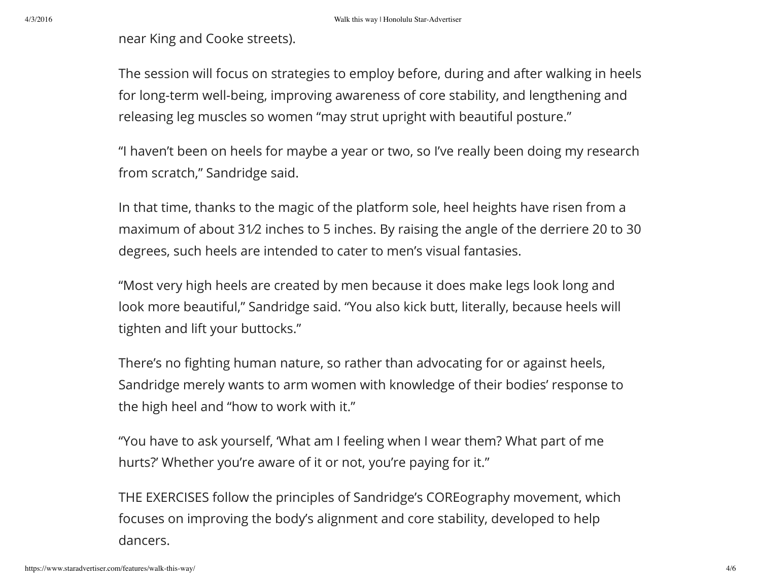4/3/2016 Walk this way | Honolulu Star-Advertiser

near King and Cooke streets).

The session will focus on strategies to employ before, during and after walking in heels for long-term well-being, improving awareness of core stability, and lengthening and releasing leg muscles so women "may strut upright with beautiful posture."

"I haven't been on heels for maybe a year or two, so I've really been doing my research from scratch," Sandridge said.

In that time, thanks to the magic of the platform sole, heel heights have risen from a maximum of about 31⁄2 inches to 5 inches. By raising the angle of the derriere 20 to 30 degrees, such heels are intended to cater to men's visual fantasies.

"Most very high heels are created by men because it does make legs look long and look more beautiful," Sandridge said. "You also kick butt, literally, because heels will tighten and lift your buttocks."

There's no fighting human nature, so rather than advocating for or against heels, Sandridge merely wants to arm women with knowledge of their bodies' response to the high heel and "how to work with it."

"You have to ask yourself, 'What am I feeling when I wear them? What part of me hurts?' Whether you're aware of it or not, you're paying for it."

THE EXERCISES follow the principles of Sandridge's COREography movement, which focuses on improving the body's alignment and core stability, developed to help dancers.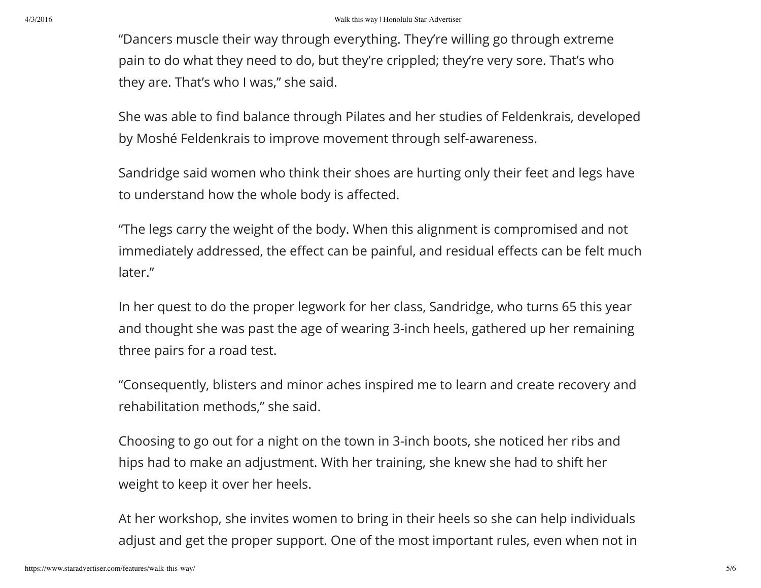"Dancers muscle their way through everything. They're willing go through extreme pain to do what they need to do, but they're crippled; they're very sore. That's who they are. That's who I was," she said.

She was able to find balance through Pilates and her studies of Feldenkrais, developed by Moshé Feldenkrais to improve movement through self-awareness.

Sandridge said women who think their shoes are hurting only their feet and legs have to understand how the whole body is affected.

"The legs carry the weight of the body. When this alignment is compromised and not immediately addressed, the effect can be painful, and residual effects can be felt much later."

In her quest to do the proper legwork for her class, Sandridge, who turns 65 this year and thought she was past the age of wearing 3-inch heels, gathered up her remaining three pairs for a road test.

"Consequently, blisters and minor aches inspired me to learn and create recovery and rehabilitation methods," she said.

Choosing to go out for a night on the town in 3-inch boots, she noticed her ribs and hips had to make an adjustment. With her training, she knew she had to shift her weight to keep it over her heels.

At her workshop, she invites women to bring in their heels so she can help individuals adjust and get the proper support. One of the most important rules, even when not in